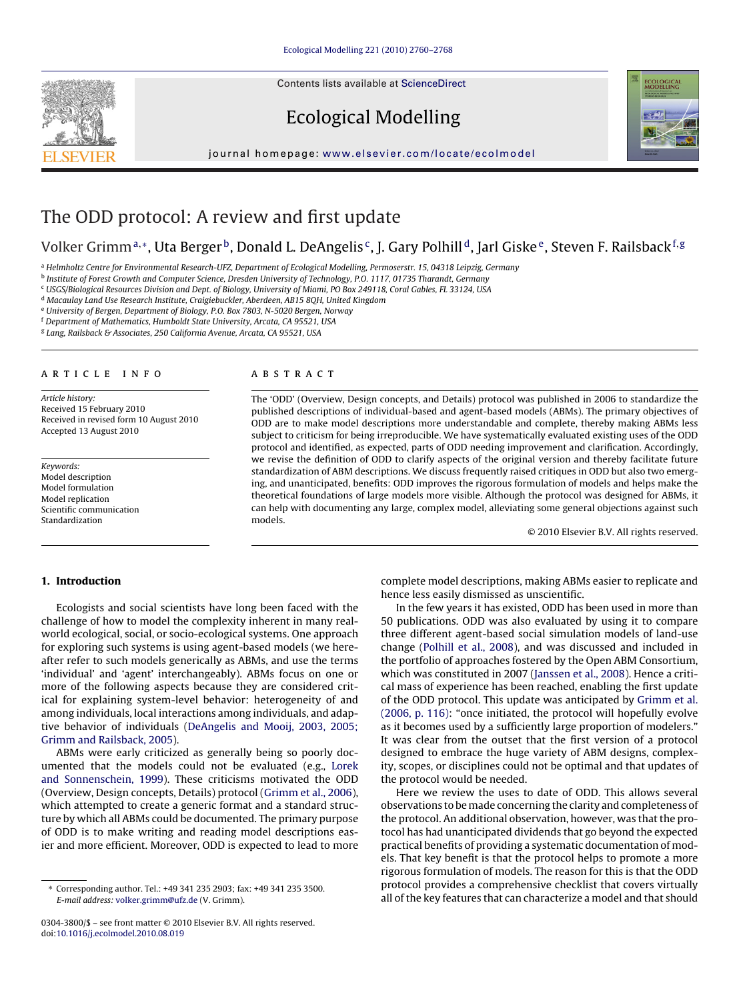Contents lists available at [ScienceDirect](http://www.sciencedirect.com/science/journal/03043800)







journal homepage: [www.elsevier.com/locate/ecolmodel](http://www.elsevier.com/locate/ecolmodel)

# The ODD protocol: A review and first update

## Volker Grimm<sup>a,</sup>\*, Uta Berger<sup>b</sup>, Donald L. DeAngelis<sup>c</sup>, J. Gary Polhill<sup>d</sup>, Jarl Giske<sup>e</sup>, Steven F. Railsback<sup>f,g</sup>

<sup>a</sup> Helmholtz Centre for Environmental Research-UFZ, Department of Ecological Modelling, Permoserstr. 15, 04318 Leipzig, Germany

<sup>b</sup> Institute of Forest Growth and Computer Science, Dresden University of Technology, P.O. 1117, 01735 Tharandt, Germany

<sup>d</sup> Macaulay Land Use Research Institute, Craigiebuckler, Aberdeen, AB15 8QH, United Kingdom

<sup>e</sup> University of Bergen, Department of Biology, P.O. Box 7803, N-5020 Bergen, Norway

<sup>f</sup> Department of Mathematics, Humboldt State University, Arcata, CA 95521, USA

<sup>g</sup> Lang, Railsback & Associates, 250 California Avenue, Arcata, CA 95521, USA

### article info

Article history: Received 15 February 2010 Received in revised form 10 August 2010 Accepted 13 August 2010

Keywords: Model description Model formulation Model replication Scientific communication Standardization

### ABSTRACT

The 'ODD' (Overview, Design concepts, and Details) protocol was published in 2006 to standardize the published descriptions of individual-based and agent-based models (ABMs). The primary objectives of ODD are to make model descriptions more understandable and complete, thereby making ABMs less subject to criticism for being irreproducible. We have systematically evaluated existing uses of the ODD protocol and identified, as expected, parts of ODD needing improvement and clarification. Accordingly, we revise the definition of ODD to clarify aspects of the original version and thereby facilitate future standardization of ABM descriptions. We discuss frequently raised critiques in ODD but also two emerging, and unanticipated, benefits: ODD improves the rigorous formulation of models and helps make the theoretical foundations of large models more visible. Although the protocol was designed for ABMs, it can help with documenting any large, complex model, alleviating some general objections against such models.

© 2010 Elsevier B.V. All rights reserved.

### **1. Introduction**

Ecologists and social scientists have long been faced with the challenge of how to model the complexity inherent in many realworld ecological, social, or socio-ecological systems. One approach for exploring such systems is using agent-based models (we hereafter refer to such models generically as ABMs, and use the terms 'individual' and 'agent' interchangeably). ABMs focus on one or more of the following aspects because they are considered critical for explaining system-level behavior: heterogeneity of and among individuals, local interactions among individuals, and adaptive behavior of individuals ([DeAngelis and Mooij, 2003, 2005;](#page-8-0) [Grimm and Railsback, 2005\).](#page-8-0)

ABMs were early criticized as generally being so poorly documented that the models could not be evaluated (e.g., [Lorek](#page-8-0) [and Sonnenschein, 1999\).](#page-8-0) These criticisms motivated the ODD (Overview, Design concepts, Details) protocol ([Grimm et al., 2006\),](#page-8-0) which attempted to create a generic format and a standard structure by which all ABMs could be documented. The primary purpose of ODD is to make writing and reading model descriptions easier and more efficient. Moreover, ODD is expected to lead to more complete model descriptions, making ABMs easier to replicate and hence less easily dismissed as unscientific.

In the few years it has existed, ODD has been used in more than 50 publications. ODD was also evaluated by using it to compare three different agent-based social simulation models of land-use change ([Polhill et al., 2008\),](#page-8-0) and was discussed and included in the portfolio of approaches fostered by the Open ABM Consortium, which was constituted in 2007 ([Janssen et al., 2008\).](#page-8-0) Hence a critical mass of experience has been reached, enabling the first update of the ODD protocol. This update was anticipated by [Grimm et al.](#page-8-0) [\(2006, p. 116\):](#page-8-0) "once initiated, the protocol will hopefully evolve as it becomes used by a sufficiently large proportion of modelers." It was clear from the outset that the first version of a protocol designed to embrace the huge variety of ABM designs, complexity, scopes, or disciplines could not be optimal and that updates of the protocol would be needed.

Here we review the uses to date of ODD. This allows several observations to bemade concerning the clarity and completeness of the protocol. An additional observation, however, was that the protocol has had unanticipated dividends that go beyond the expected practical benefits of providing a systematic documentation of models. That key benefit is that the protocol helps to promote a more rigorous formulation of models. The reason for this is that the ODD protocol provides a comprehensive checklist that covers virtually all of the key features that can characterize a model and that should

<sup>c</sup> USGS/Biological Resources Division and Dept. of Biology, University of Miami, PO Box 249118, Coral Gables, FL 33124, USA

<sup>∗</sup> Corresponding author. Tel.: +49 341 235 2903; fax: +49 341 235 3500. E-mail address: [volker.grimm@ufz.de](mailto:volker.grimm@ufz.de) (V. Grimm).

<sup>0304-3800/\$ –</sup> see front matter © 2010 Elsevier B.V. All rights reserved. doi:[10.1016/j.ecolmodel.2010.08.019](dx.doi.org/10.1016/j.ecolmodel.2010.08.019)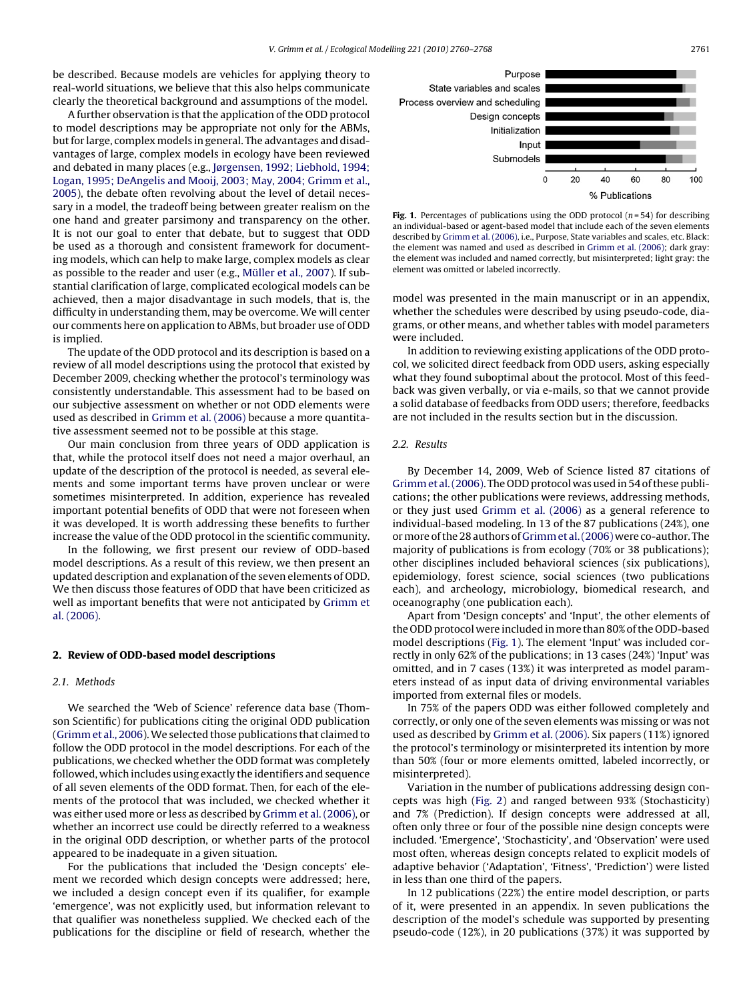<span id="page-1-0"></span>be described. Because models are vehicles for applying theory to real-world situations, we believe that this also helps communicate clearly the theoretical background and assumptions of the model.

A further observation is that the application of the ODD protocol to model descriptions may be appropriate not only for the ABMs, but for large, complex models in general. The advantages and disadvantages of large, complex models in ecology have been reviewed and debated in many places (e.g., [Jørgensen, 1992; Liebhold, 1994;](#page-8-0) [Logan, 1995; DeAngelis and Mooij, 2003; May, 2004; Grimm et al.,](#page-8-0) [2005\),](#page-8-0) the debate often revolving about the level of detail necessary in a model, the tradeoff being between greater realism on the one hand and greater parsimony and transparency on the other. It is not our goal to enter that debate, but to suggest that ODD be used as a thorough and consistent framework for documenting models, which can help to make large, complex models as clear as possible to the reader and user (e.g., [Müller et al., 2007\).](#page-8-0) If substantial clarification of large, complicated ecological models can be achieved, then a major disadvantage in such models, that is, the difficulty in understanding them, may be overcome. We will center our comments here on application to ABMs, but broader use of ODD is implied.

The update of the ODD protocol and its description is based on a review of all model descriptions using the protocol that existed by December 2009, checking whether the protocol's terminology was consistently understandable. This assessment had to be based on our subjective assessment on whether or not ODD elements were used as described in [Grimm et al. \(2006\)](#page-8-0) because a more quantitative assessment seemed not to be possible at this stage.

Our main conclusion from three years of ODD application is that, while the protocol itself does not need a major overhaul, an update of the description of the protocol is needed, as several elements and some important terms have proven unclear or were sometimes misinterpreted. In addition, experience has revealed important potential benefits of ODD that were not foreseen when it was developed. It is worth addressing these benefits to further increase the value of the ODD protocol in the scientific community.

In the following, we first present our review of ODD-based model descriptions. As a result of this review, we then present an updated description and explanation of the seven elements of ODD. We then discuss those features of ODD that have been criticized as well as important benefits that were not anticipated by [Grimm et](#page-8-0) [al. \(2006\).](#page-8-0)

#### **2. Review of ODD-based model descriptions**

#### 2.1 Methods

We searched the 'Web of Science' reference data base (Thomson Scientific) for publications citing the original ODD publication ([Grimm et al., 2006\).](#page-8-0)We selected those publications that claimed to follow the ODD protocol in the model descriptions. For each of the publications, we checked whether the ODD format was completely followed, which includes using exactly the identifiers and sequence of all seven elements of the ODD format. Then, for each of the elements of the protocol that was included, we checked whether it was either used more or less as described by [Grimm et al. \(2006\), o](#page-8-0)r whether an incorrect use could be directly referred to a weakness in the original ODD description, or whether parts of the protocol appeared to be inadequate in a given situation.

For the publications that included the 'Design concepts' element we recorded which design concepts were addressed; here, we included a design concept even if its qualifier, for example 'emergence', was not explicitly used, but information relevant to that qualifier was nonetheless supplied. We checked each of the publications for the discipline or field of research, whether the



**Fig. 1.** Percentages of publications using the ODD protocol ( $n = 54$ ) for describing an individual-based or agent-based model that include each of the seven elements described by [Grimm et al. \(2006\), i](#page-8-0).e., Purpose, State variables and scales, etc. Black: the element was named and used as described in [Grimm et al. \(2006\); d](#page-8-0)ark gray: the element was included and named correctly, but misinterpreted; light gray: the element was omitted or labeled incorrectly.

model was presented in the main manuscript or in an appendix, whether the schedules were described by using pseudo-code, diagrams, or other means, and whether tables with model parameters were included.

In addition to reviewing existing applications of the ODD protocol, we solicited direct feedback from ODD users, asking especially what they found suboptimal about the protocol. Most of this feedback was given verbally, or via e-mails, so that we cannot provide a solid database of feedbacks from ODD users; therefore, feedbacks are not included in the results section but in the discussion.

### 2.2. Results

By December 14, 2009, Web of Science listed 87 citations of [Grimm et al. \(2006\). T](#page-8-0)he ODD protocol was used in 54 of these publications; the other publications were reviews, addressing methods, or they just used [Grimm et al. \(2006\)](#page-8-0) as a general reference to individual-based modeling. In 13 of the 87 publications (24%), one ormore of the 28 authors of [Grimm et al. \(2006\)](#page-8-0) were co-author. The majority of publications is from ecology (70% or 38 publications); other disciplines included behavioral sciences (six publications), epidemiology, forest science, social sciences (two publications each), and archeology, microbiology, biomedical research, and oceanography (one publication each).

Apart from 'Design concepts' and 'Input', the other elements of the ODD protocol were included inmore than 80% of the ODD-based model descriptions (Fig. 1). The element 'Input' was included correctly in only 62% of the publications; in 13 cases (24%) 'Input' was omitted, and in 7 cases (13%) it was interpreted as model parameters instead of as input data of driving environmental variables imported from external files or models.

In 75% of the papers ODD was either followed completely and correctly, or only one of the seven elements was missing or was not used as described by [Grimm et al. \(2006\). S](#page-8-0)ix papers (11%) ignored the protocol's terminology or misinterpreted its intention by more than 50% (four or more elements omitted, labeled incorrectly, or misinterpreted).

Variation in the number of publications addressing design concepts was high [\(Fig. 2\)](#page-2-0) and ranged between 93% (Stochasticity) and 7% (Prediction). If design concepts were addressed at all, often only three or four of the possible nine design concepts were included. 'Emergence', 'Stochasticity', and 'Observation' were used most often, whereas design concepts related to explicit models of adaptive behavior ('Adaptation', 'Fitness', 'Prediction') were listed in less than one third of the papers.

In 12 publications (22%) the entire model description, or parts of it, were presented in an appendix. In seven publications the description of the model's schedule was supported by presenting pseudo-code (12%), in 20 publications (37%) it was supported by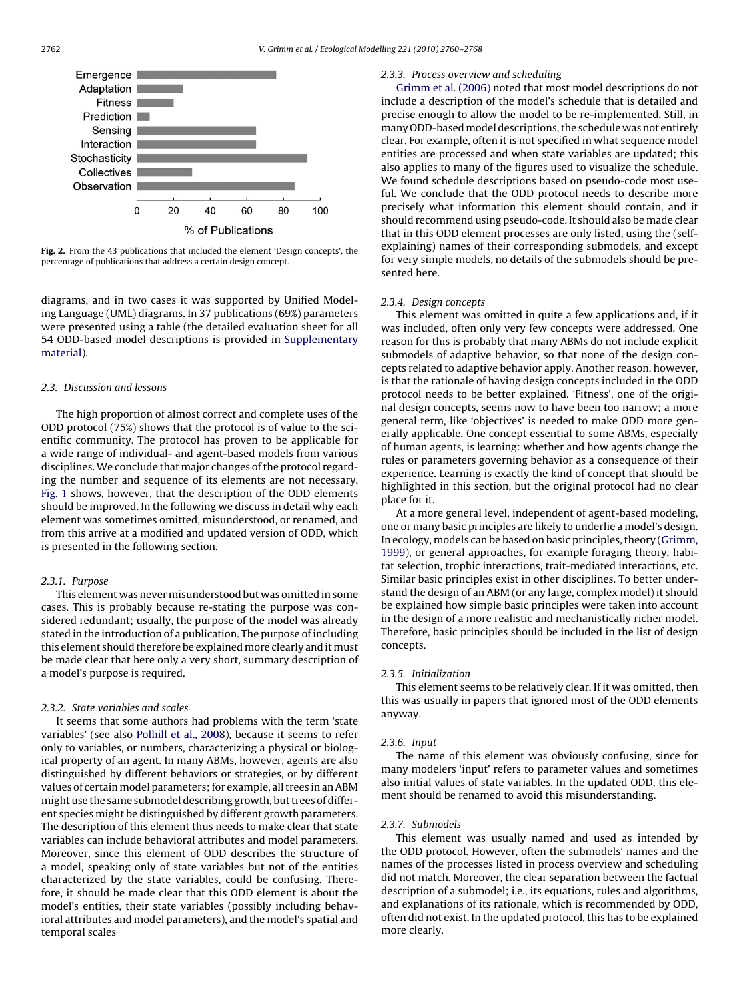<span id="page-2-0"></span>

**Fig. 2.** From the 43 publications that included the element 'Design concepts', the percentage of publications that address a certain design concept.

diagrams, and in two cases it was supported by Unified Modeling Language (UML) diagrams. In 37 publications (69%) parameters were presented using a table (the detailed evaluation sheet for all 54 ODD-based model descriptions is provided in [Supplementary](#page-7-0) [material\).](#page-7-0)

### 2.3. Discussion and lessons

The high proportion of almost correct and complete uses of the ODD protocol (75%) shows that the protocol is of value to the scientific community. The protocol has proven to be applicable for a wide range of individual- and agent-based models from various disciplines.We conclude that major changes of the protocol regarding the number and sequence of its elements are not necessary. [Fig. 1](#page-1-0) shows, however, that the description of the ODD elements should be improved. In the following we discuss in detail why each element was sometimes omitted, misunderstood, or renamed, and from this arrive at a modified and updated version of ODD, which is presented in the following section.

### 2.3.1. Purpose

This element was never misunderstood but was omitted in some cases. This is probably because re-stating the purpose was considered redundant; usually, the purpose of the model was already stated in the introduction of a publication. The purpose of including this element should therefore be explained more clearly and it must be made clear that here only a very short, summary description of a model's purpose is required.

### 2.3.2. State variables and scales

It seems that some authors had problems with the term 'state variables' (see also [Polhill et al., 2008\),](#page-8-0) because it seems to refer only to variables, or numbers, characterizing a physical or biological property of an agent. In many ABMs, however, agents are also distinguished by different behaviors or strategies, or by different values of certain model parameters; for example, all trees in an ABM might use the same submodel describing growth, but trees of different species might be distinguished by different growth parameters. The description of this element thus needs to make clear that state variables can include behavioral attributes and model parameters. Moreover, since this element of ODD describes the structure of a model, speaking only of state variables but not of the entities characterized by the state variables, could be confusing. Therefore, it should be made clear that this ODD element is about the model's entities, their state variables (possibly including behavioral attributes and model parameters), and the model's spatial and temporal scales

#### 2.3.3. Process overview and scheduling

[Grimm et al. \(2006\)](#page-8-0) noted that most model descriptions do not include a description of the model's schedule that is detailed and precise enough to allow the model to be re-implemented. Still, in many ODD-based model descriptions, the schedule was not entirely clear. For example, often it is not specified in what sequence model entities are processed and when state variables are updated; this also applies to many of the figures used to visualize the schedule. We found schedule descriptions based on pseudo-code most useful. We conclude that the ODD protocol needs to describe more precisely what information this element should contain, and it should recommend using pseudo-code. It should also be made clear that in this ODD element processes are only listed, using the (selfexplaining) names of their corresponding submodels, and except for very simple models, no details of the submodels should be presented here.

#### 2.3.4. Design concepts

This element was omitted in quite a few applications and, if it was included, often only very few concepts were addressed. One reason for this is probably that many ABMs do not include explicit submodels of adaptive behavior, so that none of the design concepts related to adaptive behavior apply. Another reason, however, is that the rationale of having design concepts included in the ODD protocol needs to be better explained. 'Fitness', one of the original design concepts, seems now to have been too narrow; a more general term, like 'objectives' is needed to make ODD more generally applicable. One concept essential to some ABMs, especially of human agents, is learning: whether and how agents change the rules or parameters governing behavior as a consequence of their experience. Learning is exactly the kind of concept that should be highlighted in this section, but the original protocol had no clear place for it.

At a more general level, independent of agent-based modeling, one or many basic principles are likely to underlie a model's design. In ecology, models can be based on basic principles, theory ([Grimm,](#page-8-0) [1999\),](#page-8-0) or general approaches, for example foraging theory, habitat selection, trophic interactions, trait-mediated interactions, etc. Similar basic principles exist in other disciplines. To better understand the design of an ABM (or any large, complex model) it should be explained how simple basic principles were taken into account in the design of a more realistic and mechanistically richer model. Therefore, basic principles should be included in the list of design concepts.

### 2.3.5. Initialization

This element seems to be relatively clear. If it was omitted, then this was usually in papers that ignored most of the ODD elements anyway.

### 2.3.6. Input

The name of this element was obviously confusing, since for many modelers 'input' refers to parameter values and sometimes also initial values of state variables. In the updated ODD, this element should be renamed to avoid this misunderstanding.

### 2.3.7. Submodels

This element was usually named and used as intended by the ODD protocol. However, often the submodels' names and the names of the processes listed in process overview and scheduling did not match. Moreover, the clear separation between the factual description of a submodel; i.e., its equations, rules and algorithms, and explanations of its rationale, which is recommended by ODD, often did not exist. In the updated protocol, this has to be explained more clearly.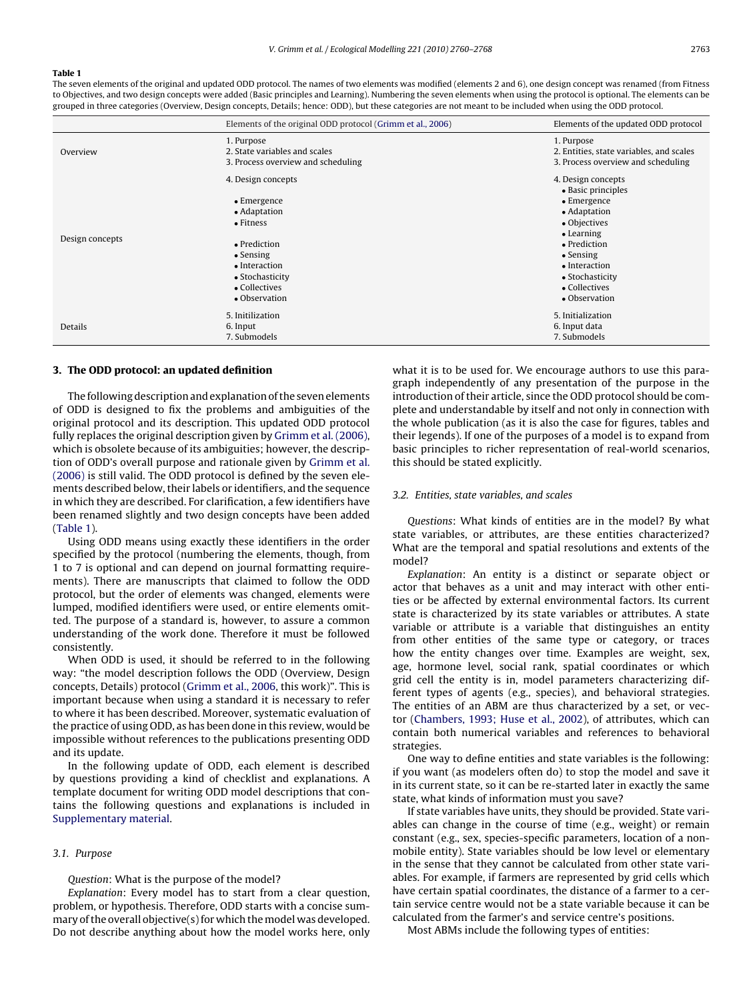#### **Table 1**

The seven elements of the original and updated ODD protocol. The names of two elements was modified (elements 2 and 6), one design concept was renamed (from Fitness to Objectives, and two design concepts were added (Basic principles and Learning). Numbering the seven elements when using the protocol is optional. The elements can be grouped in three categories (Overview, Design concepts, Details; hence: ODD), but these categories are not meant to be included when using the ODD protocol.

|                 | Elements of the original ODD protocol (Grimm et al., 2006)                                                                   | Elements of the updated ODD protocol                                                                                                          |
|-----------------|------------------------------------------------------------------------------------------------------------------------------|-----------------------------------------------------------------------------------------------------------------------------------------------|
| Overview        | 1. Purpose<br>2. State variables and scales<br>3. Process overview and scheduling                                            | 1. Purpose<br>2. Entities, state variables, and scales<br>3. Process overview and scheduling                                                  |
|                 | 4. Design concepts<br>• Emergence<br>• Adaptation                                                                            | 4. Design concepts<br>• Basic principles<br>• Emergence<br>• Adaptation                                                                       |
| Design concepts | $\bullet$ Fitness<br>• Prediction<br>$\bullet$ Sensing<br>• Interaction<br>• Stochasticity<br>• Collectives<br>• Observation | • Objectives<br>$\bullet$ Learning<br>• Prediction<br>$\bullet$ Sensing<br>• Interaction<br>• Stochasticity<br>• Collectives<br>• Observation |
| Details         | 5. Initilization<br>6. Input<br>7. Submodels                                                                                 | 5. Initialization<br>6. Input data<br>7. Submodels                                                                                            |

### **3. The ODD protocol: an updated definition**

The following description and explanation of the seven elements of ODD is designed to fix the problems and ambiguities of the original protocol and its description. This updated ODD protocol fully replaces the original description given by [Grimm et al. \(2006\),](#page-8-0) which is obsolete because of its ambiguities; however, the description of ODD's overall purpose and rationale given by [Grimm et al.](#page-8-0) [\(2006\)](#page-8-0) is still valid. The ODD protocol is defined by the seven elements described below, their labels or identifiers, and the sequence in which they are described. For clarification, a few identifiers have been renamed slightly and two design concepts have been added (Table 1).

Using ODD means using exactly these identifiers in the order specified by the protocol (numbering the elements, though, from 1 to 7 is optional and can depend on journal formatting requirements). There are manuscripts that claimed to follow the ODD protocol, but the order of elements was changed, elements were lumped, modified identifiers were used, or entire elements omitted. The purpose of a standard is, however, to assure a common understanding of the work done. Therefore it must be followed consistently.

When ODD is used, it should be referred to in the following way: "the model description follows the ODD (Overview, Design concepts, Details) protocol [\(Grimm et al., 2006, t](#page-8-0)his work)". This is important because when using a standard it is necessary to refer to where it has been described. Moreover, systematic evaluation of the practice of using ODD, as has been done in this review, would be impossible without references to the publications presenting ODD and its update.

In the following update of ODD, each element is described by questions providing a kind of checklist and explanations. A template document for writing ODD model descriptions that contains the following questions and explanations is included in [Supplementary material.](#page-7-0)

### 3.1. Purpose

Question: What is the purpose of the model?

Explanation: Every model has to start from a clear question, problem, or hypothesis. Therefore, ODD starts with a concise summary of the overall objective(s) for which the model was developed. Do not describe anything about how the model works here, only what it is to be used for. We encourage authors to use this paragraph independently of any presentation of the purpose in the introduction of their article, since the ODD protocol should be complete and understandable by itself and not only in connection with the whole publication (as it is also the case for figures, tables and their legends). If one of the purposes of a model is to expand from basic principles to richer representation of real-world scenarios, this should be stated explicitly.

### 3.2. Entities, state variables, and scales

Questions: What kinds of entities are in the model? By what state variables, or attributes, are these entities characterized? What are the temporal and spatial resolutions and extents of the model?

Explanation: An entity is a distinct or separate object or actor that behaves as a unit and may interact with other entities or be affected by external environmental factors. Its current state is characterized by its state variables or attributes. A state variable or attribute is a variable that distinguishes an entity from other entities of the same type or category, or traces how the entity changes over time. Examples are weight, sex, age, hormone level, social rank, spatial coordinates or which grid cell the entity is in, model parameters characterizing different types of agents (e.g., species), and behavioral strategies. The entities of an ABM are thus characterized by a set, or vector ([Chambers, 1993; Huse et al., 2002\),](#page-8-0) of attributes, which can contain both numerical variables and references to behavioral strategies.

One way to define entities and state variables is the following: if you want (as modelers often do) to stop the model and save it in its current state, so it can be re-started later in exactly the same state, what kinds of information must you save?

If state variables have units, they should be provided. State variables can change in the course of time (e.g., weight) or remain constant (e.g., sex, species-specific parameters, location of a nonmobile entity). State variables should be low level or elementary in the sense that they cannot be calculated from other state variables. For example, if farmers are represented by grid cells which have certain spatial coordinates, the distance of a farmer to a certain service centre would not be a state variable because it can be calculated from the farmer's and service centre's positions.

Most ABMs include the following types of entities: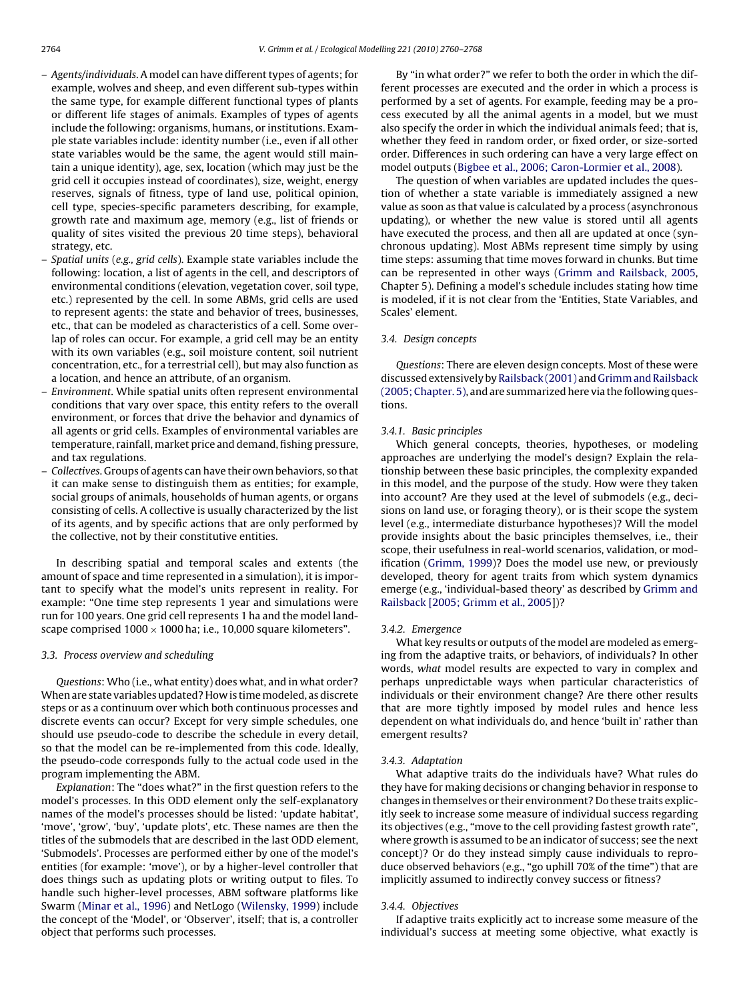- Agents/individuals. A model can have different types of agents; for example, wolves and sheep, and even different sub-types within the same type, for example different functional types of plants or different life stages of animals. Examples of types of agents include the following: organisms, humans, or institutions. Example state variables include: identity number (i.e., even if all other state variables would be the same, the agent would still maintain a unique identity), age, sex, location (which may just be the grid cell it occupies instead of coordinates), size, weight, energy reserves, signals of fitness, type of land use, political opinion, cell type, species-specific parameters describing, for example, growth rate and maximum age, memory (e.g., list of friends or quality of sites visited the previous 20 time steps), behavioral strategy, etc.
- Spatial units (e.g., grid cells). Example state variables include the following: location, a list of agents in the cell, and descriptors of environmental conditions (elevation, vegetation cover, soil type, etc.) represented by the cell. In some ABMs, grid cells are used to represent agents: the state and behavior of trees, businesses, etc., that can be modeled as characteristics of a cell. Some overlap of roles can occur. For example, a grid cell may be an entity with its own variables (e.g., soil moisture content, soil nutrient concentration, etc., for a terrestrial cell), but may also function as a location, and hence an attribute, of an organism.
- Environment. While spatial units often represent environmental conditions that vary over space, this entity refers to the overall environment, or forces that drive the behavior and dynamics of all agents or grid cells. Examples of environmental variables are temperature, rainfall, market price and demand, fishing pressure, and tax regulations.
- Collectives. Groups of agents can have their own behaviors, so that it can make sense to distinguish them as entities; for example, social groups of animals, households of human agents, or organs consisting of cells. A collective is usually characterized by the list of its agents, and by specific actions that are only performed by the collective, not by their constitutive entities.

In describing spatial and temporal scales and extents (the amount of space and time represented in a simulation), it is important to specify what the model's units represent in reality. For example: "One time step represents 1 year and simulations were run for 100 years. One grid cell represents 1 ha and the model landscape comprised  $1000 \times 1000$  ha; i.e., 10,000 square kilometers".

#### 3.3. Process overview and scheduling

Questions: Who (i.e., what entity) does what, and in what order? When are state variables updated? How is time modeled, as discrete steps or as a continuum over which both continuous processes and discrete events can occur? Except for very simple schedules, one should use pseudo-code to describe the schedule in every detail, so that the model can be re-implemented from this code. Ideally, the pseudo-code corresponds fully to the actual code used in the program implementing the ABM.

Explanation: The "does what?" in the first question refers to the model's processes. In this ODD element only the self-explanatory names of the model's processes should be listed: 'update habitat', 'move', 'grow', 'buy', 'update plots', etc. These names are then the titles of the submodels that are described in the last ODD element, 'Submodels'. Processes are performed either by one of the model's entities (for example: 'move'), or by a higher-level controller that does things such as updating plots or writing output to files. To handle such higher-level processes, ABM software platforms like Swarm [\(Minar et al., 1996\)](#page-8-0) and NetLogo [\(Wilensky, 1999\)](#page-8-0) include the concept of the 'Model', or 'Observer', itself; that is, a controller object that performs such processes.

By "in what order?" we refer to both the order in which the different processes are executed and the order in which a process is performed by a set of agents. For example, feeding may be a process executed by all the animal agents in a model, but we must also specify the order in which the individual animals feed; that is, whether they feed in random order, or fixed order, or size-sorted order. Differences in such ordering can have a very large effect on model outputs [\(Bigbee et al., 2006; Caron-Lormier et al., 2008\).](#page-8-0)

The question of when variables are updated includes the question of whether a state variable is immediately assigned a new value as soon as that value is calculated by a process (asynchronous updating), or whether the new value is stored until all agents have executed the process, and then all are updated at once (synchronous updating). Most ABMs represent time simply by using time steps: assuming that time moves forward in chunks. But time can be represented in other ways ([Grimm and Railsback, 2005,](#page-8-0) Chapter 5). Defining a model's schedule includes stating how time is modeled, if it is not clear from the 'Entities, State Variables, and Scales' element.

### 3.4. Design concepts

Questions: There are eleven design concepts. Most of these were discussed extensively by[Railsback \(2001\)](#page-8-0) and [Grimm and Railsback](#page-8-0) [\(2005; Chapter. 5\), a](#page-8-0)nd are summarized here via the following questions.

### 3.4.1. Basic principles

Which general concepts, theories, hypotheses, or modeling approaches are underlying the model's design? Explain the relationship between these basic principles, the complexity expanded in this model, and the purpose of the study. How were they taken into account? Are they used at the level of submodels (e.g., decisions on land use, or foraging theory), or is their scope the system level (e.g., intermediate disturbance hypotheses)? Will the model provide insights about the basic principles themselves, i.e., their scope, their usefulness in real-world scenarios, validation, or modification [\(Grimm, 1999\)?](#page-8-0) Does the model use new, or previously developed, theory for agent traits from which system dynamics emerge (e.g., 'individual-based theory' as described by [Grimm and](#page-8-0) [Railsback \[2005; Grimm et al., 2005\]\)](#page-8-0)?

### 3.4.2. Emergence

What key results or outputs of the model are modeled as emerging from the adaptive traits, or behaviors, of individuals? In other words, what model results are expected to vary in complex and perhaps unpredictable ways when particular characteristics of individuals or their environment change? Are there other results that are more tightly imposed by model rules and hence less dependent on what individuals do, and hence 'built in' rather than emergent results?

#### 3.4.3. Adaptation

What adaptive traits do the individuals have? What rules do they have for making decisions or changing behavior in response to changes in themselves or their environment? Do these traits explicitly seek to increase some measure of individual success regarding its objectives (e.g., "move to the cell providing fastest growth rate", where growth is assumed to be an indicator of success; see the next concept)? Or do they instead simply cause individuals to reproduce observed behaviors (e.g., "go uphill 70% of the time") that are implicitly assumed to indirectly convey success or fitness?

### 3.4.4. Objectives

If adaptive traits explicitly act to increase some measure of the individual's success at meeting some objective, what exactly is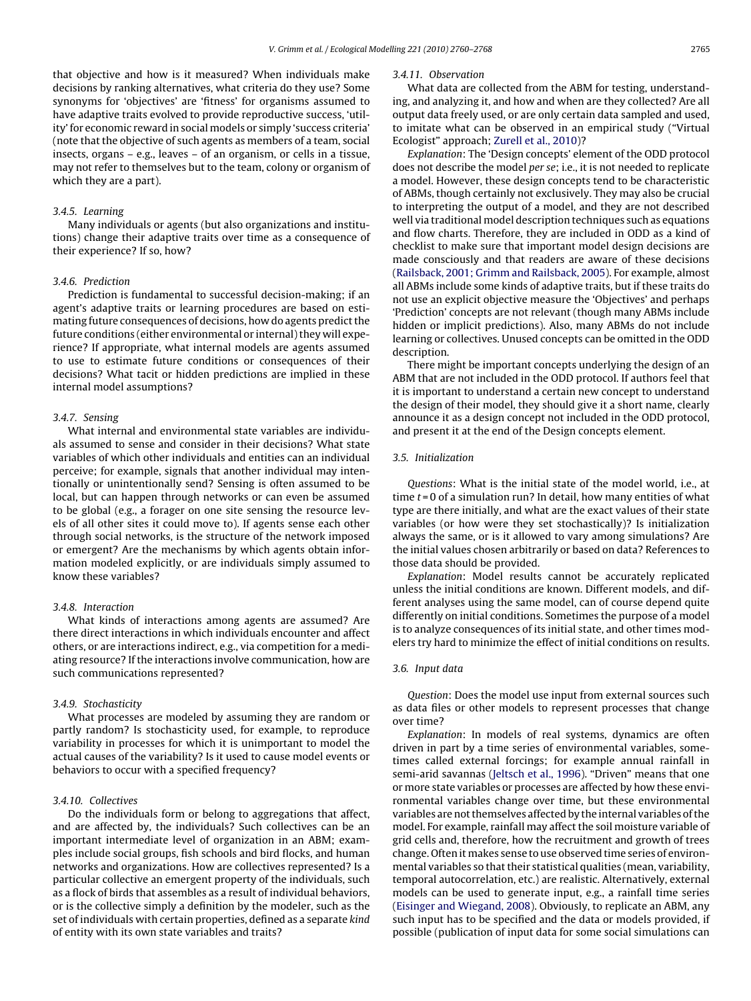that objective and how is it measured? When individuals make decisions by ranking alternatives, what criteria do they use? Some synonyms for 'objectives' are 'fitness' for organisms assumed to have adaptive traits evolved to provide reproductive success, 'utility' for economic reward in social models or simply 'success criteria' (note that the objective of such agents as members of a team, social insects, organs – e.g., leaves – of an organism, or cells in a tissue, may not refer to themselves but to the team, colony or organism of which they are a part).

### 3.4.5. Learning

Many individuals or agents (but also organizations and institutions) change their adaptive traits over time as a consequence of their experience? If so, how?

### 3.4.6. Prediction

Prediction is fundamental to successful decision-making; if an agent's adaptive traits or learning procedures are based on estimating future consequences of decisions, how do agents predict the future conditions (either environmental or internal) they will experience? If appropriate, what internal models are agents assumed to use to estimate future conditions or consequences of their decisions? What tacit or hidden predictions are implied in these internal model assumptions?

### 3.4.7. Sensing

What internal and environmental state variables are individuals assumed to sense and consider in their decisions? What state variables of which other individuals and entities can an individual perceive; for example, signals that another individual may intentionally or unintentionally send? Sensing is often assumed to be local, but can happen through networks or can even be assumed to be global (e.g., a forager on one site sensing the resource levels of all other sites it could move to). If agents sense each other through social networks, is the structure of the network imposed or emergent? Are the mechanisms by which agents obtain information modeled explicitly, or are individuals simply assumed to know these variables?

### 3.4.8. Interaction

What kinds of interactions among agents are assumed? Are there direct interactions in which individuals encounter and affect others, or are interactions indirect, e.g., via competition for a mediating resource? If the interactions involve communication, how are such communications represented?

#### 3.4.9. Stochasticity

What processes are modeled by assuming they are random or partly random? Is stochasticity used, for example, to reproduce variability in processes for which it is unimportant to model the actual causes of the variability? Is it used to cause model events or behaviors to occur with a specified frequency?

#### 3.4.10. Collectives

Do the individuals form or belong to aggregations that affect, and are affected by, the individuals? Such collectives can be an important intermediate level of organization in an ABM; examples include social groups, fish schools and bird flocks, and human networks and organizations. How are collectives represented? Is a particular collective an emergent property of the individuals, such as a flock of birds that assembles as a result of individual behaviors, or is the collective simply a definition by the modeler, such as the set of individuals with certain properties, defined as a separate kind of entity with its own state variables and traits?

#### 3.4.11. Observation

What data are collected from the ABM for testing, understanding, and analyzing it, and how and when are they collected? Are all output data freely used, or are only certain data sampled and used, to imitate what can be observed in an empirical study ("Virtual Ecologist" approach; [Zurell et al., 2010\)?](#page-8-0)

Explanation: The 'Design concepts' element of the ODD protocol does not describe the model per se; i.e., it is not needed to replicate a model. However, these design concepts tend to be characteristic of ABMs, though certainly not exclusively. They may also be crucial to interpreting the output of a model, and they are not described well via traditional model description techniques such as equations and flow charts. Therefore, they are included in ODD as a kind of checklist to make sure that important model design decisions are made consciously and that readers are aware of these decisions [\(Railsback, 2001; Grimm and Railsback, 2005\).](#page-8-0) For example, almost all ABMs include some kinds of adaptive traits, but if these traits do not use an explicit objective measure the 'Objectives' and perhaps 'Prediction' concepts are not relevant (though many ABMs include hidden or implicit predictions). Also, many ABMs do not include learning or collectives. Unused concepts can be omitted in the ODD description.

There might be important concepts underlying the design of an ABM that are not included in the ODD protocol. If authors feel that it is important to understand a certain new concept to understand the design of their model, they should give it a short name, clearly announce it as a design concept not included in the ODD protocol, and present it at the end of the Design concepts element.

### 3.5. Initialization

Questions: What is the initial state of the model world, i.e., at time  $t = 0$  of a simulation run? In detail, how many entities of what type are there initially, and what are the exact values of their state variables (or how were they set stochastically)? Is initialization always the same, or is it allowed to vary among simulations? Are the initial values chosen arbitrarily or based on data? References to those data should be provided.

Explanation: Model results cannot be accurately replicated unless the initial conditions are known. Different models, and different analyses using the same model, can of course depend quite differently on initial conditions. Sometimes the purpose of a model is to analyze consequences of its initial state, and other times modelers try hard to minimize the effect of initial conditions on results.

#### 3.6. Input data

Question: Does the model use input from external sources such as data files or other models to represent processes that change over time?

Explanation: In models of real systems, dynamics are often driven in part by a time series of environmental variables, sometimes called external forcings; for example annual rainfall in semi-arid savannas ([Jeltsch et al., 1996\).](#page-8-0) "Driven" means that one or more state variables or processes are affected by how these environmental variables change over time, but these environmental variables are not themselves affected by the internal variables of the model. For example, rainfall may affect the soil moisture variable of grid cells and, therefore, how the recruitment and growth of trees change. Often it makes sense to use observed time series of environmental variables so that their statistical qualities (mean, variability, temporal autocorrelation, etc.) are realistic. Alternatively, external models can be used to generate input, e.g., a rainfall time series [\(Eisinger and Wiegand, 2008\).](#page-8-0) Obviously, to replicate an ABM, any such input has to be specified and the data or models provided, if possible (publication of input data for some social simulations can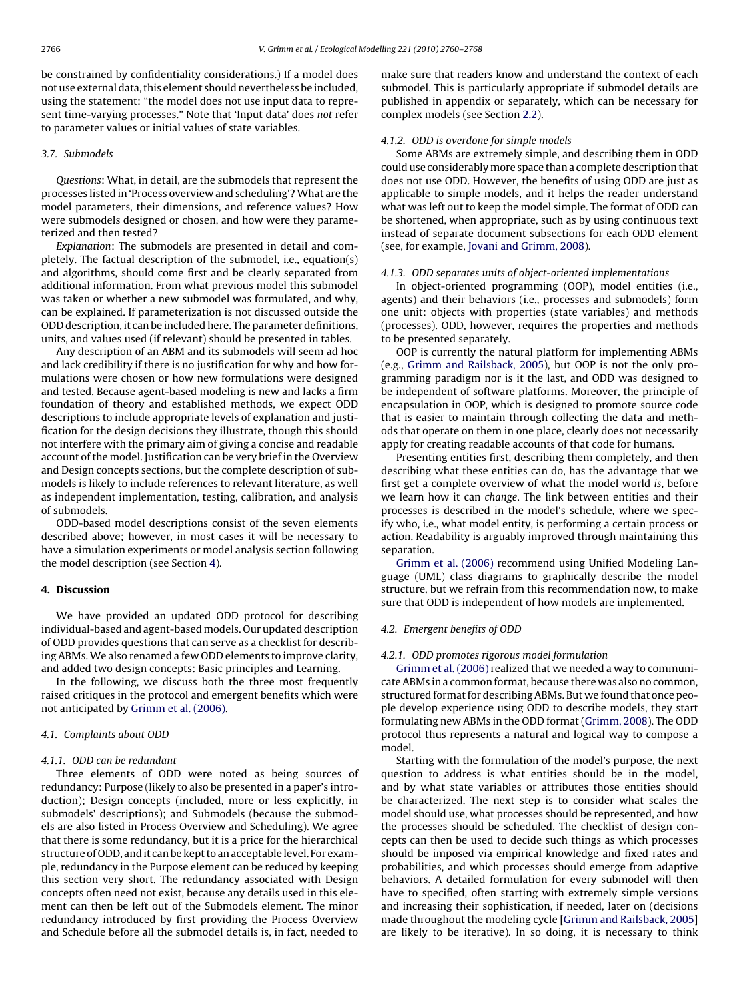be constrained by confidentiality considerations.) If a model does not use external data, this element should nevertheless be included, using the statement: "the model does not use input data to represent time-varying processes." Note that 'Input data' does not refer to parameter values or initial values of state variables.

### 3.7. Submodels

Questions: What, in detail, are the submodels that represent the processes listed in 'Process overview and scheduling'?What are the model parameters, their dimensions, and reference values? How were submodels designed or chosen, and how were they parameterized and then tested?

Explanation: The submodels are presented in detail and completely. The factual description of the submodel, i.e., equation(s) and algorithms, should come first and be clearly separated from additional information. From what previous model this submodel was taken or whether a new submodel was formulated, and why, can be explained. If parameterization is not discussed outside the ODD description, it can be included here. The parameter definitions, units, and values used (if relevant) should be presented in tables.

Any description of an ABM and its submodels will seem ad hoc and lack credibility if there is no justification for why and how formulations were chosen or how new formulations were designed and tested. Because agent-based modeling is new and lacks a firm foundation of theory and established methods, we expect ODD descriptions to include appropriate levels of explanation and justification for the design decisions they illustrate, though this should not interfere with the primary aim of giving a concise and readable account of the model. Justification can be very brief in the Overview and Design concepts sections, but the complete description of submodels is likely to include references to relevant literature, as well as independent implementation, testing, calibration, and analysis of submodels.

ODD-based model descriptions consist of the seven elements described above; however, in most cases it will be necessary to have a simulation experiments or model analysis section following the model description (see Section 4).

### **4. Discussion**

We have provided an updated ODD protocol for describing individual-based and agent-based models. Our updated description of ODD provides questions that can serve as a checklist for describing ABMs. We also renamed a few ODD elements to improve clarity, and added two design concepts: Basic principles and Learning.

In the following, we discuss both the three most frequently raised critiques in the protocol and emergent benefits which were not anticipated by [Grimm et al. \(2006\).](#page-8-0)

#### 4.1. Complaints about ODD

#### 4.1.1. ODD can be redundant

Three elements of ODD were noted as being sources of redundancy: Purpose (likely to also be presented in a paper's introduction); Design concepts (included, more or less explicitly, in submodels' descriptions); and Submodels (because the submodels are also listed in Process Overview and Scheduling). We agree that there is some redundancy, but it is a price for the hierarchical structure of ODD, and it can be kept to an acceptable level. For example, redundancy in the Purpose element can be reduced by keeping this section very short. The redundancy associated with Design concepts often need not exist, because any details used in this element can then be left out of the Submodels element. The minor redundancy introduced by first providing the Process Overview and Schedule before all the submodel details is, in fact, needed to make sure that readers know and understand the context of each submodel. This is particularly appropriate if submodel details are published in appendix or separately, which can be necessary for complex models (see Section [2.2\).](#page-1-0)

### 4.1.2. ODD is overdone for simple models

Some ABMs are extremely simple, and describing them in ODD could use considerablymore space than a complete description that does not use ODD. However, the benefits of using ODD are just as applicable to simple models, and it helps the reader understand what was left out to keep the model simple. The format of ODD can be shortened, when appropriate, such as by using continuous text instead of separate document subsections for each ODD element (see, for example, [Jovani and Grimm, 2008\).](#page-8-0)

### 4.1.3. ODD separates units of object-oriented implementations

In object-oriented programming (OOP), model entities (i.e., agents) and their behaviors (i.e., processes and submodels) form one unit: objects with properties (state variables) and methods (processes). ODD, however, requires the properties and methods to be presented separately.

OOP is currently the natural platform for implementing ABMs (e.g., [Grimm and Railsback, 2005\),](#page-8-0) but OOP is not the only programming paradigm nor is it the last, and ODD was designed to be independent of software platforms. Moreover, the principle of encapsulation in OOP, which is designed to promote source code that is easier to maintain through collecting the data and methods that operate on them in one place, clearly does not necessarily apply for creating readable accounts of that code for humans.

Presenting entities first, describing them completely, and then describing what these entities can do, has the advantage that we first get a complete overview of what the model world is, before we learn how it can change. The link between entities and their processes is described in the model's schedule, where we specify who, i.e., what model entity, is performing a certain process or action. Readability is arguably improved through maintaining this separation.

[Grimm et al. \(2006\)](#page-8-0) recommend using Unified Modeling Language (UML) class diagrams to graphically describe the model structure, but we refrain from this recommendation now, to make sure that ODD is independent of how models are implemented.

### 4.2. Emergent benefits of ODD

#### 4.2.1. ODD promotes rigorous model formulation

[Grimm et al. \(2006\)](#page-8-0) realized that we needed a way to communicate ABMs in a common format, because there was also no common, structured format for describing ABMs. But we found that once people develop experience using ODD to describe models, they start formulating new ABMs in the ODD format ([Grimm, 2008\).](#page-8-0) The ODD protocol thus represents a natural and logical way to compose a model.

Starting with the formulation of the model's purpose, the next question to address is what entities should be in the model, and by what state variables or attributes those entities should be characterized. The next step is to consider what scales the model should use, what processes should be represented, and how the processes should be scheduled. The checklist of design concepts can then be used to decide such things as which processes should be imposed via empirical knowledge and fixed rates and probabilities, and which processes should emerge from adaptive behaviors. A detailed formulation for every submodel will then have to specified, often starting with extremely simple versions and increasing their sophistication, if needed, later on (decisions made throughout the modeling cycle [\[Grimm and Railsback, 2005\]](#page-8-0) are likely to be iterative). In so doing, it is necessary to think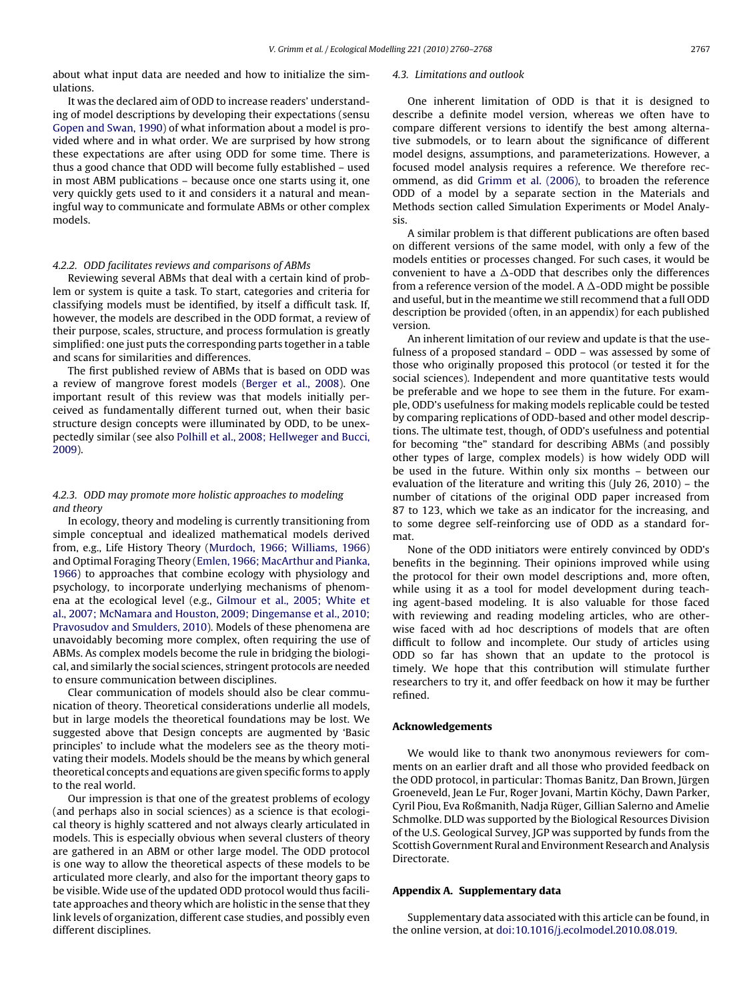<span id="page-7-0"></span>about what input data are needed and how to initialize the simulations.

It was the declared aim of ODD to increase readers' understanding of model descriptions by developing their expectations (sensu [Gopen and Swan, 1990\) o](#page-8-0)f what information about a model is provided where and in what order. We are surprised by how strong these expectations are after using ODD for some time. There is thus a good chance that ODD will become fully established – used in most ABM publications – because once one starts using it, one very quickly gets used to it and considers it a natural and meaningful way to communicate and formulate ABMs or other complex models.

#### 4.2.2. ODD facilitates reviews and comparisons of ABMs

Reviewing several ABMs that deal with a certain kind of problem or system is quite a task. To start, categories and criteria for classifying models must be identified, by itself a difficult task. If, however, the models are described in the ODD format, a review of their purpose, scales, structure, and process formulation is greatly simplified: one just puts the corresponding parts together in a table and scans for similarities and differences.

The first published review of ABMs that is based on ODD was a review of mangrove forest models [\(Berger et al., 2008\).](#page-8-0) One important result of this review was that models initially perceived as fundamentally different turned out, when their basic structure design concepts were illuminated by ODD, to be unexpectedly similar (see also [Polhill et al., 2008; Hellweger and Bucci,](#page-8-0) [2009\).](#page-8-0)

### 4.2.3. ODD may promote more holistic approaches to modeling and theory

In ecology, theory and modeling is currently transitioning from simple conceptual and idealized mathematical models derived from, e.g., Life History Theory ([Murdoch, 1966; Williams, 1966\)](#page-8-0) and Optimal Foraging Theory [\(Emlen, 1966; MacArthur and Pianka,](#page-8-0) [1966\)](#page-8-0) to approaches that combine ecology with physiology and psychology, to incorporate underlying mechanisms of phenomena at the ecological level (e.g., [Gilmour et al., 2005; White et](#page-8-0) [al., 2007; McNamara and Houston, 2009; Dingemanse et al., 2010;](#page-8-0) [Pravosudov and Smulders, 2010\).](#page-8-0) Models of these phenomena are unavoidably becoming more complex, often requiring the use of ABMs. As complex models become the rule in bridging the biological, and similarly the social sciences, stringent protocols are needed to ensure communication between disciplines.

Clear communication of models should also be clear communication of theory. Theoretical considerations underlie all models, but in large models the theoretical foundations may be lost. We suggested above that Design concepts are augmented by 'Basic principles' to include what the modelers see as the theory motivating their models. Models should be the means by which general theoretical concepts and equations are given specific forms to apply to the real world.

Our impression is that one of the greatest problems of ecology (and perhaps also in social sciences) as a science is that ecological theory is highly scattered and not always clearly articulated in models. This is especially obvious when several clusters of theory are gathered in an ABM or other large model. The ODD protocol is one way to allow the theoretical aspects of these models to be articulated more clearly, and also for the important theory gaps to be visible. Wide use of the updated ODD protocol would thus facilitate approaches and theory which are holistic in the sense that they link levels of organization, different case studies, and possibly even different disciplines.

#### 4.3. Limitations and outlook

One inherent limitation of ODD is that it is designed to describe a definite model version, whereas we often have to compare different versions to identify the best among alternative submodels, or to learn about the significance of different model designs, assumptions, and parameterizations. However, a focused model analysis requires a reference. We therefore recommend, as did [Grimm et al. \(2006\),](#page-8-0) to broaden the reference ODD of a model by a separate section in the Materials and Methods section called Simulation Experiments or Model Analysis.

A similar problem is that different publications are often based on different versions of the same model, with only a few of the models entities or processes changed. For such cases, it would be convenient to have a  $\Delta$ -ODD that describes only the differences from a reference version of the model. A  $\Delta$ -ODD might be possible and useful, but in the meantime we still recommend that a full ODD description be provided (often, in an appendix) for each published version.

An inherent limitation of our review and update is that the usefulness of a proposed standard – ODD – was assessed by some of those who originally proposed this protocol (or tested it for the social sciences). Independent and more quantitative tests would be preferable and we hope to see them in the future. For example, ODD's usefulness for making models replicable could be tested by comparing replications of ODD-based and other model descriptions. The ultimate test, though, of ODD's usefulness and potential for becoming "the" standard for describing ABMs (and possibly other types of large, complex models) is how widely ODD will be used in the future. Within only six months – between our evaluation of the literature and writing this (July 26, 2010) – the number of citations of the original ODD paper increased from 87 to 123, which we take as an indicator for the increasing, and to some degree self-reinforcing use of ODD as a standard format.

None of the ODD initiators were entirely convinced by ODD's benefits in the beginning. Their opinions improved while using the protocol for their own model descriptions and, more often, while using it as a tool for model development during teaching agent-based modeling. It is also valuable for those faced with reviewing and reading modeling articles, who are otherwise faced with ad hoc descriptions of models that are often difficult to follow and incomplete. Our study of articles using ODD so far has shown that an update to the protocol is timely. We hope that this contribution will stimulate further researchers to try it, and offer feedback on how it may be further refined.

### **Acknowledgements**

We would like to thank two anonymous reviewers for comments on an earlier draft and all those who provided feedback on the ODD protocol, in particular: Thomas Banitz, Dan Brown, Jürgen Groeneveld, Jean Le Fur, Roger Jovani, Martin Köchy, Dawn Parker, Cyril Piou, Eva Roßmanith, Nadja Rüger, Gillian Salerno and Amelie Schmolke. DLD was supported by the Biological Resources Division of the U.S. Geological Survey, JGP was supported by funds from the Scottish Government Rural and Environment Research and Analysis Directorate.

#### **Appendix A. Supplementary data**

Supplementary data associated with this article can be found, in the online version, at [doi:10.1016/j.ecolmodel.2010.08.019](http://dx.doi.org/10.1016/j.ecolmodel.2010.08.019).